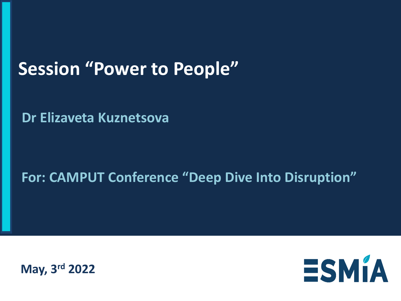### **Session "Power to People"**

**Dr Elizaveta Kuznetsova**

### **For: CAMPUT Conference "Deep Dive Into Disruption"**



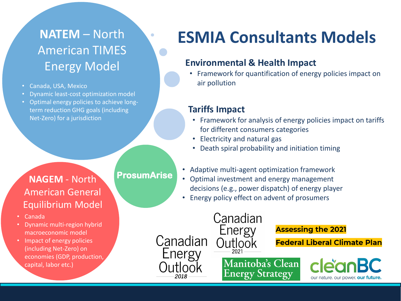### **NATEM** – North American TIMES Energy Model

- Canada, USA, Mexico
- Dynamic least-cost optimization model
- Optimal energy policies to achieve longterm reduction GHG goals (including Net-Zero) for a jurisdiction

#### **NAGEM** - North American General Equilibrium Model

- Canada
- Dynamic multi-region hybrid macroeconomic model
- Impact of energy policies (including Net-Zero) on economies (GDP, production, capital, labor etc.)

**ProsumArise**

### **ESMIA Consultants Models**

#### **Environmental & Health Impact**

• Framework for quantification of energy policies impact on air pollution

#### **Tariffs Impact**

- Framework for analysis of energy policies impact on tariffs for different consumers categories
- Electricity and natural gas
- Death spiral probability and initiation timing
- Adaptive multi-agent optimization framework
- Optimal investment and energy management decisions (e.g., power dispatch) of energy player
- Energy policy effect on advent of prosumers

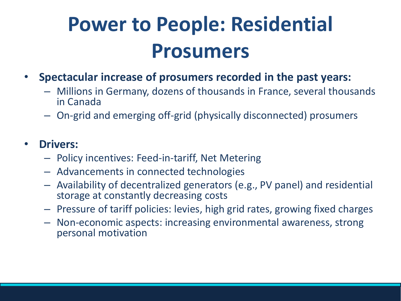# **Power to People: Residential Prosumers**

- **Spectacular increase of prosumers recorded in the past years:**
	- Millions in Germany, dozens of thousands in France, several thousands in Canada
	- On-grid and emerging off-grid (physically disconnected) prosumers

#### • **Drivers:**

- Policy incentives: Feed-in-tariff, Net Metering
- Advancements in connected technologies
- Availability of decentralized generators (e.g., PV panel) and residential storage at constantly decreasing costs
- Pressure of tariff policies: levies, high grid rates, growing fixed charges
- Non-economic aspects: increasing environmental awareness, strong personal motivation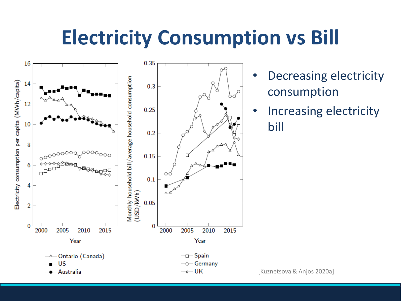## **Electricity Consumption vs Bill**



- Decreasing electricity consumption
- Increasing electricity bill

[Kuznetsova & Anjos 2020a]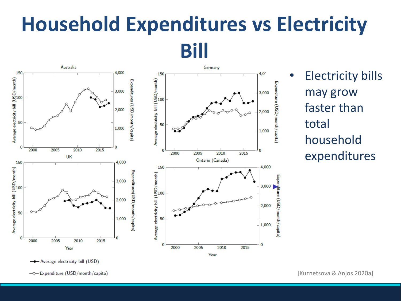## **Household Expenditures vs Electricity Bill**



• Electricity bills may grow faster than total household expenditures

-0-Expenditure (USD/month/capita)

<sup>-</sup> Average electricity bill (USD)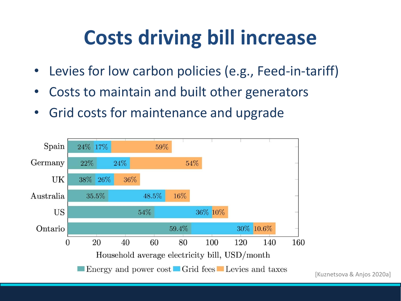## **Costs driving bill increase**

- Levies for low carbon policies (e.g., Feed-in-tariff)
- Costs to maintain and built other generators
- Grid costs for maintenance and upgrade

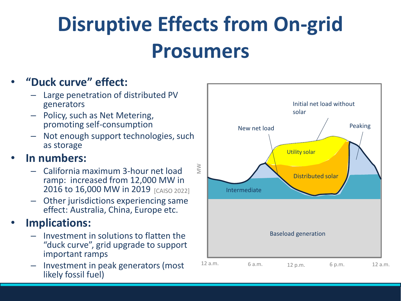# **Disruptive Effects from On-grid Prosumers**

#### • **"Duck curve" effect:**

- Large penetration of distributed PV generators
- Policy, such as Net Metering, promoting self-consumption
- Not enough support technologies, such as storage

#### • **In numbers:**

- California maximum 3-hour net load ramp: increased from 12,000 MW in 2016 to 16,000 MW in 2019 [CAISO 2022]
- Other jurisdictions experiencing same effect: Australia, China, Europe etc.

#### • **Implications:**

- Investment in solutions to flatten the "duck curve", grid upgrade to support important ramps
- Investment in peak generators (most likely fossil fuel)

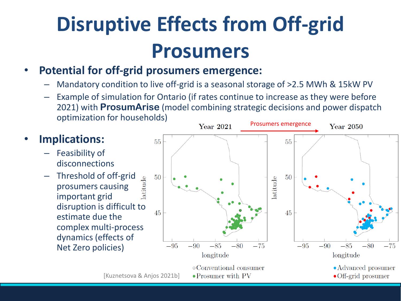# **Disruptive Effects from Off-grid Prosumers**

#### • **Potential for off-grid prosumers emergence:**

- Mandatory condition to live off-grid is a seasonal storage of >2.5 MWh & 15kW PV
- Example of simulation for Ontario (if rates continue to increase as they were before 2021) with **ProsumArise** (model combining strategic decisions and power dispatch optimization for households)<br>
Prosumers emergence<br>
Prosumers emergence

#### • **Implications:**

- Feasibility of disconnections
- Threshold of off-grid latitude prosumers causing important grid disruption is difficult to estimate due the complex multi-process dynamics (effects of Net Zero policies)

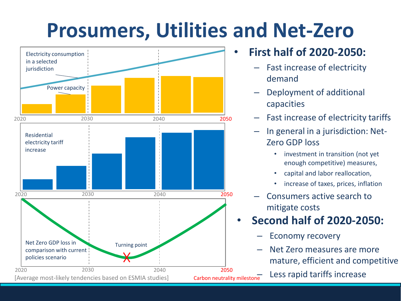## **Prosumers, Utilities and Net-Zero**



#### • **First half of 2020-2050:**

- Fast increase of electricity demand
- Deployment of additional capacities
- Fast increase of electricity tariffs
- In general in a jurisdiction: Net-Zero GDP loss
	- investment in transition (not yet enough competitive) measures,
	- capital and labor reallocation,
	- increase of taxes, prices, inflation
- Consumers active search to mitigate costs

### • **Second half of 2020-2050:**

- Economy recovery
- Net Zero measures are more mature, efficient and competitive
- Less rapid tariffs increase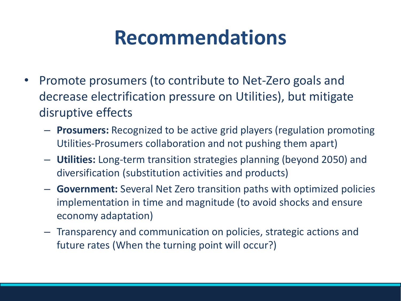## **Recommendations**

- Promote prosumers (to contribute to Net-Zero goals and decrease electrification pressure on Utilities), but mitigate disruptive effects
	- **Prosumers:** Recognized to be active grid players (regulation promoting Utilities-Prosumers collaboration and not pushing them apart)
	- **Utilities:** Long-term transition strategies planning (beyond 2050) and diversification (substitution activities and products)
	- **Government:** Several Net Zero transition paths with optimized policies implementation in time and magnitude (to avoid shocks and ensure economy adaptation)
	- Transparency and communication on policies, strategic actions and future rates (When the turning point will occur?)